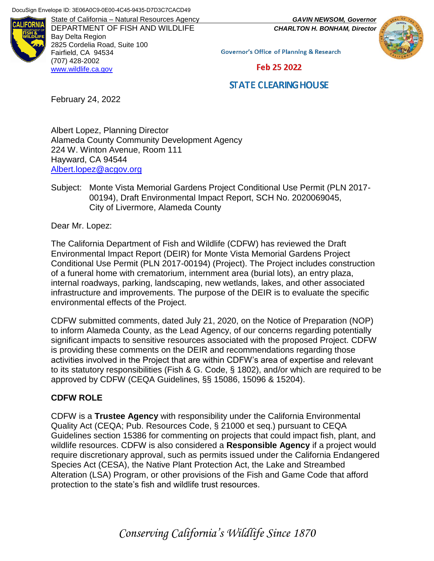

DEPARTMENT OF FISH AND WILDLIFE *CHARLTON H. BONHAM, Director* Bay Delta Region 2825 Cordelia Road, Suite 100 Fairfield, CA 94534 (707) 428-2002 [www.wildlife.ca.gov](http://www.wildlife.ca.gov/)



**Governor's Office of Planning & Research** 

Feb 25 2022

# **STATE CLEARING HOUSE**

February 24, 2022

Albert Lopez, Planning Director Alameda County Community Development Agency 224 W. Winton Avenue, Room 111 Hayward, CA 94544 [Albert.lopez@acgov.org](mailto:Albert.lopez@acgov.org)

Subject: Monte Vista Memorial Gardens Project Conditional Use Permit (PLN 2017- 00194), Draft Environmental Impact Report, SCH No. 2020069045, City of Livermore, Alameda County

Dear Mr. Lopez:

The California Department of Fish and Wildlife (CDFW) has reviewed the Draft Environmental Impact Report (DEIR) for Monte Vista Memorial Gardens Project Conditional Use Permit (PLN 2017-00194) (Project). The Project includes construction of a funeral home with crematorium, internment area (burial lots), an entry plaza, internal roadways, parking, landscaping, new wetlands, lakes, and other associated infrastructure and improvements. The purpose of the DEIR is to evaluate the specific environmental effects of the Project.

CDFW submitted comments, dated July 21, 2020, on the Notice of Preparation (NOP) to inform Alameda County, as the Lead Agency, of our concerns regarding potentially significant impacts to sensitive resources associated with the proposed Project. CDFW is providing these comments on the DEIR and recommendations regarding those activities involved in the Project that are within CDFW's area of expertise and relevant to its statutory responsibilities (Fish & G. Code, § 1802), and/or which are required to be approved by CDFW (CEQA Guidelines, §§ 15086, 15096 & 15204).

# **CDFW ROLE**

CDFW is a **Trustee Agency** with responsibility under the California Environmental Quality Act (CEQA; Pub. Resources Code, § 21000 et seq.) pursuant to CEQA Guidelines section 15386 for commenting on projects that could impact fish, plant, and wildlife resources. CDFW is also considered a **Responsible Agency** if a project would require discretionary approval, such as permits issued under the California Endangered Species Act (CESA), the Native Plant Protection Act, the Lake and Streambed Alteration (LSA) Program, or other provisions of the Fish and Game Code that afford protection to the state's fish and wildlife trust resources.

*Conserving California's Wildlife Since 1870*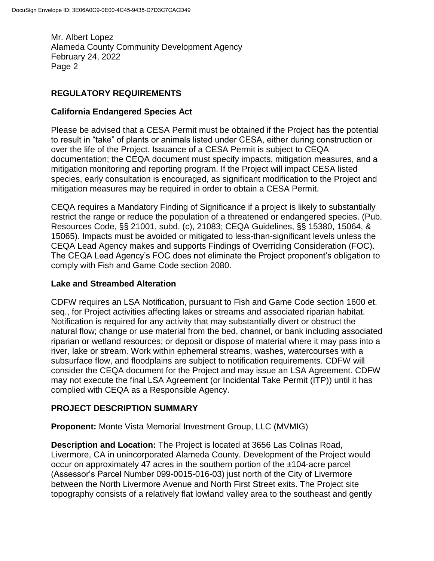# **REGULATORY REQUIREMENTS**

# **California Endangered Species Act**

Please be advised that a CESA Permit must be obtained if the Project has the potential to result in "take" of plants or animals listed under CESA, either during construction or over the life of the Project. Issuance of a CESA Permit is subject to CEQA documentation; the CEQA document must specify impacts, mitigation measures, and a mitigation monitoring and reporting program. If the Project will impact CESA listed species, early consultation is encouraged, as significant modification to the Project and mitigation measures may be required in order to obtain a CESA Permit.

CEQA requires a Mandatory Finding of Significance if a project is likely to substantially restrict the range or reduce the population of a threatened or endangered species. (Pub. Resources Code, §§ 21001, subd. (c), 21083; CEQA Guidelines, §§ 15380, 15064, & 15065). Impacts must be avoided or mitigated to less-than-significant levels unless the CEQA Lead Agency makes and supports Findings of Overriding Consideration (FOC). The CEQA Lead Agency's FOC does not eliminate the Project proponent's obligation to comply with Fish and Game Code section 2080.

# **Lake and Streambed Alteration**

CDFW requires an LSA Notification, pursuant to Fish and Game Code section 1600 et. seq., for Project activities affecting lakes or streams and associated riparian habitat. Notification is required for any activity that may substantially divert or obstruct the natural flow; change or use material from the bed, channel, or bank including associated riparian or wetland resources; or deposit or dispose of material where it may pass into a river, lake or stream. Work within ephemeral streams, washes, watercourses with a subsurface flow, and floodplains are subject to notification requirements. CDFW will consider the CEQA document for the Project and may issue an LSA Agreement. CDFW may not execute the final LSA Agreement (or Incidental Take Permit (ITP)) until it has complied with CEQA as a Responsible Agency.

# **PROJECT DESCRIPTION SUMMARY**

**Proponent:** Monte Vista Memorial Investment Group, LLC (MVMIG)

**Description and Location:** The Project is located at 3656 Las Colinas Road, Livermore, CA in unincorporated Alameda County. Development of the Project would occur on approximately 47 acres in the southern portion of the ±104-acre parcel (Assessor's Parcel Number 099-0015-016-03) just north of the City of Livermore between the North Livermore Avenue and North First Street exits. The Project site topography consists of a relatively flat lowland valley area to the southeast and gently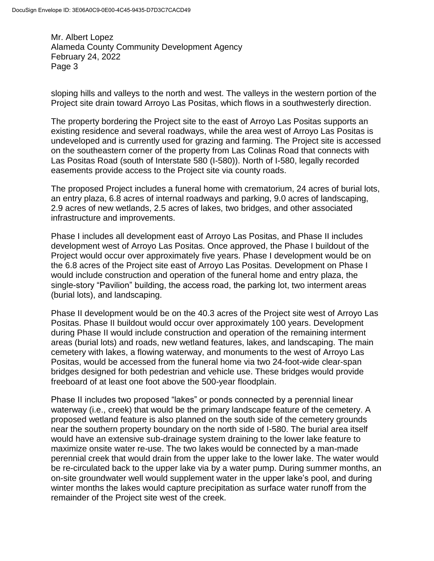sloping hills and valleys to the north and west. The valleys in the western portion of the Project site drain toward Arroyo Las Positas, which flows in a southwesterly direction.

The property bordering the Project site to the east of Arroyo Las Positas supports an existing residence and several roadways, while the area west of Arroyo Las Positas is undeveloped and is currently used for grazing and farming. The Project site is accessed on the southeastern corner of the property from Las Colinas Road that connects with Las Positas Road (south of Interstate 580 (I-580)). North of I-580, legally recorded easements provide access to the Project site via county roads.

The proposed Project includes a funeral home with crematorium, 24 acres of burial lots, an entry plaza, 6.8 acres of internal roadways and parking, 9.0 acres of landscaping, 2.9 acres of new wetlands, 2.5 acres of lakes, two bridges, and other associated infrastructure and improvements.

Phase I includes all development east of Arroyo Las Positas, and Phase II includes development west of Arroyo Las Positas. Once approved, the Phase I buildout of the Project would occur over approximately five years. Phase I development would be on the 6.8 acres of the Project site east of Arroyo Las Positas. Development on Phase I would include construction and operation of the funeral home and entry plaza, the single-story "Pavilion" building, the access road, the parking lot, two interment areas (burial lots), and landscaping.

Phase II development would be on the 40.3 acres of the Project site west of Arroyo Las Positas. Phase II buildout would occur over approximately 100 years. Development during Phase II would include construction and operation of the remaining interment areas (burial lots) and roads, new wetland features, lakes, and landscaping. The main cemetery with lakes, a flowing waterway, and monuments to the west of Arroyo Las Positas, would be accessed from the funeral home via two 24-foot-wide clear-span bridges designed for both pedestrian and vehicle use. These bridges would provide freeboard of at least one foot above the 500-year floodplain.

Phase II includes two proposed "lakes" or ponds connected by a perennial linear waterway (i.e., creek) that would be the primary landscape feature of the cemetery. A proposed wetland feature is also planned on the south side of the cemetery grounds near the southern property boundary on the north side of I-580. The burial area itself would have an extensive sub-drainage system draining to the lower lake feature to maximize onsite water re-use. The two lakes would be connected by a man-made perennial creek that would drain from the upper lake to the lower lake. The water would be re-circulated back to the upper lake via by a water pump. During summer months, an on-site groundwater well would supplement water in the upper lake's pool, and during winter months the lakes would capture precipitation as surface water runoff from the remainder of the Project site west of the creek.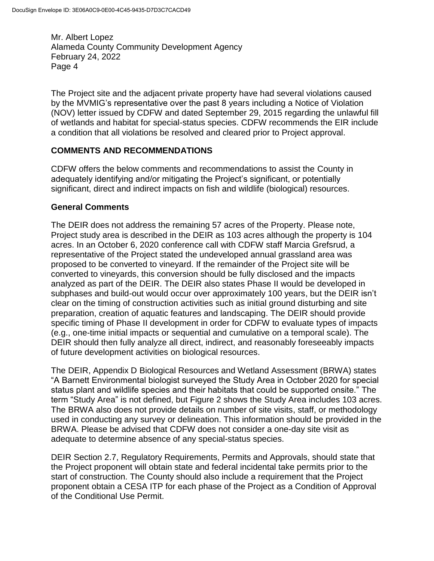The Project site and the adjacent private property have had several violations caused by the MVMIG's representative over the past 8 years including a Notice of Violation (NOV) letter issued by CDFW and dated September 29, 2015 regarding the unlawful fill of wetlands and habitat for special-status species. CDFW recommends the EIR include a condition that all violations be resolved and cleared prior to Project approval.

# **COMMENTS AND RECOMMENDATIONS**

CDFW offers the below comments and recommendations to assist the County in adequately identifying and/or mitigating the Project's significant, or potentially significant, direct and indirect impacts on fish and wildlife (biological) resources.

# **General Comments**

The DEIR does not address the remaining 57 acres of the Property. Please note, Project study area is described in the DEIR as 103 acres although the property is 104 acres. In an October 6, 2020 conference call with CDFW staff Marcia Grefsrud, a representative of the Project stated the undeveloped annual grassland area was proposed to be converted to vineyard. If the remainder of the Project site will be converted to vineyards, this conversion should be fully disclosed and the impacts analyzed as part of the DEIR. The DEIR also states Phase II would be developed in subphases and build-out would occur over approximately 100 years, but the DEIR isn't clear on the timing of construction activities such as initial ground disturbing and site preparation, creation of aquatic features and landscaping. The DEIR should provide specific timing of Phase II development in order for CDFW to evaluate types of impacts (e.g., one-time initial impacts or sequential and cumulative on a temporal scale). The DEIR should then fully analyze all direct, indirect, and reasonably foreseeably impacts of future development activities on biological resources.

The DEIR, Appendix D Biological Resources and Wetland Assessment (BRWA) states "A Barnett Environmental biologist surveyed the Study Area in October 2020 for special status plant and wildlife species and their habitats that could be supported onsite." The term "Study Area" is not defined, but Figure 2 shows the Study Area includes 103 acres. The BRWA also does not provide details on number of site visits, staff, or methodology used in conducting any survey or delineation. This information should be provided in the BRWA. Please be advised that CDFW does not consider a one-day site visit as adequate to determine absence of any special-status species.

DEIR Section 2.7, Regulatory Requirements, Permits and Approvals, should state that the Project proponent will obtain state and federal incidental take permits prior to the start of construction. The County should also include a requirement that the Project proponent obtain a CESA ITP for each phase of the Project as a Condition of Approval of the Conditional Use Permit.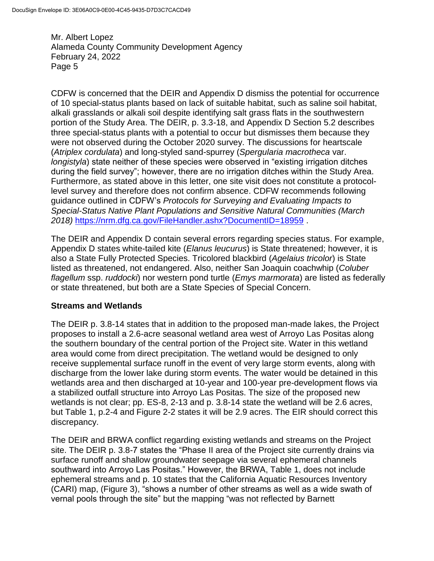CDFW is concerned that the DEIR and Appendix D dismiss the potential for occurrence of 10 special-status plants based on lack of suitable habitat, such as saline soil habitat, alkali grasslands or alkali soil despite identifying salt grass flats in the southwestern portion of the Study Area. The DEIR, p. 3.3-18, and Appendix D Section 5.2 describes three special-status plants with a potential to occur but dismisses them because they were not observed during the October 2020 survey. The discussions for heartscale (*Atriplex cordulata*) and long-styled sand-spurrey (*Spergularia macrotheca* var. *longistyla*) state neither of these species were observed in "existing irrigation ditches during the field survey"; however, there are no irrigation ditches within the Study Area. Furthermore, as stated above in this letter, one site visit does not constitute a protocollevel survey and therefore does not confirm absence. CDFW recommends following guidance outlined in CDFW's *Protocols for Surveying and Evaluating Impacts to Special-Status Native Plant Populations and Sensitive Natural Communities (March 2018)* <https://nrm.dfg.ca.gov/FileHandler.ashx?DocumentID=18959> .

The DEIR and Appendix D contain several errors regarding species status. For example, Appendix D states white-tailed kite (*Elanus leucurus*) is State threatened; however, it is also a State Fully Protected Species. Tricolored blackbird (*Agelaius tricolor*) is State listed as threatened, not endangered. Also, neither San Joaquin coachwhip (*Coluber flagellum* ssp. *ruddocki*) nor western pond turtle (*Emys marmorata*) are listed as federally or state threatened, but both are a State Species of Special Concern.

# **Streams and Wetlands**

The DEIR p. 3.8-14 states that in addition to the proposed man-made lakes, the Project proposes to install a 2.6-acre seasonal wetland area west of Arroyo Las Positas along the southern boundary of the central portion of the Project site. Water in this wetland area would come from direct precipitation. The wetland would be designed to only receive supplemental surface runoff in the event of very large storm events, along with discharge from the lower lake during storm events. The water would be detained in this wetlands area and then discharged at 10-year and 100-year pre-development flows via a stabilized outfall structure into Arroyo Las Positas. The size of the proposed new wetlands is not clear; pp. ES-8, 2-13 and p. 3.8-14 state the wetland will be 2.6 acres, but Table 1, p.2-4 and Figure 2-2 states it will be 2.9 acres. The EIR should correct this discrepancy.

The DEIR and BRWA conflict regarding existing wetlands and streams on the Project site. The DEIR p. 3.8-7 states the "Phase II area of the Project site currently drains via surface runoff and shallow groundwater seepage via several ephemeral channels southward into Arroyo Las Positas." However, the BRWA, Table 1, does not include ephemeral streams and p. 10 states that the California Aquatic Resources Inventory (CARI) map, (Figure 3), "shows a number of other streams as well as a wide swath of vernal pools through the site" but the mapping "was not reflected by Barnett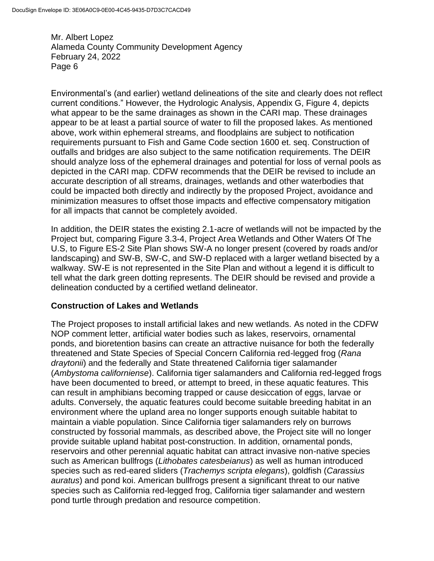Environmental's (and earlier) wetland delineations of the site and clearly does not reflect current conditions." However, the Hydrologic Analysis, Appendix G, Figure 4, depicts what appear to be the same drainages as shown in the CARI map. These drainages appear to be at least a partial source of water to fill the proposed lakes. As mentioned above, work within ephemeral streams, and floodplains are subject to notification requirements pursuant to Fish and Game Code section 1600 et. seq. Construction of outfalls and bridges are also subject to the same notification requirements. The DEIR should analyze loss of the ephemeral drainages and potential for loss of vernal pools as depicted in the CARI map. CDFW recommends that the DEIR be revised to include an accurate description of all streams, drainages, wetlands and other waterbodies that could be impacted both directly and indirectly by the proposed Project, avoidance and minimization measures to offset those impacts and effective compensatory mitigation for all impacts that cannot be completely avoided.

In addition, the DEIR states the existing 2.1-acre of wetlands will not be impacted by the Project but, comparing Figure 3.3-4, Project Area Wetlands and Other Waters Of The U.S, to Figure ES-2 Site Plan shows SW-A no longer present (covered by roads and/or landscaping) and SW-B, SW-C, and SW-D replaced with a larger wetland bisected by a walkway. SW-E is not represented in the Site Plan and without a legend it is difficult to tell what the dark green dotting represents. The DEIR should be revised and provide a delineation conducted by a certified wetland delineator.

# **Construction of Lakes and Wetlands**

The Project proposes to install artificial lakes and new wetlands. As noted in the CDFW NOP comment letter, artificial water bodies such as lakes, reservoirs, ornamental ponds, and bioretention basins can create an attractive nuisance for both the federally threatened and State Species of Special Concern California red-legged frog (*Rana draytonii*) and the federally and State threatened California tiger salamander (*Ambystoma californiense*). California tiger salamanders and California red-legged frogs have been documented to breed, or attempt to breed, in these aquatic features. This can result in amphibians becoming trapped or cause desiccation of eggs, larvae or adults. Conversely, the aquatic features could become suitable breeding habitat in an environment where the upland area no longer supports enough suitable habitat to maintain a viable population. Since California tiger salamanders rely on burrows constructed by fossorial mammals, as described above, the Project site will no longer provide suitable upland habitat post-construction. In addition, ornamental ponds, reservoirs and other perennial aquatic habitat can attract invasive non-native species such as American bullfrogs (*Lithobates catesbeianus*) as well as human introduced species such as red-eared sliders (*Trachemys scripta elegans*), goldfish (*Carassius auratus*) and pond koi. American bullfrogs present a significant threat to our native species such as California red-legged frog, California tiger salamander and western pond turtle through predation and resource competition.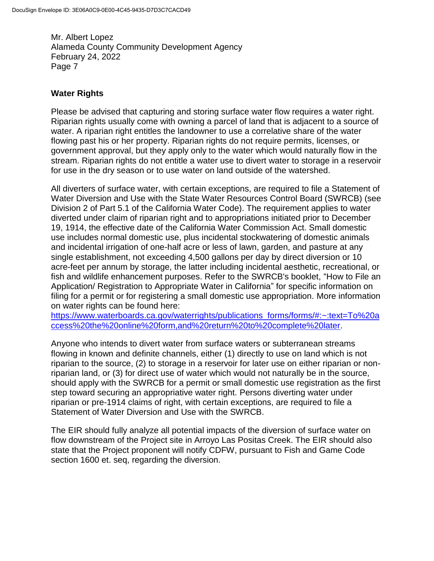# **Water Rights**

Please be advised that capturing and storing surface water flow requires a water right. Riparian rights usually come with owning a parcel of land that is adjacent to a source of water. A riparian right entitles the landowner to use a correlative share of the water flowing past his or her property. Riparian rights do not require permits, licenses, or government approval, but they apply only to the water which would naturally flow in the stream. Riparian rights do not entitle a water use to divert water to storage in a reservoir for use in the dry season or to use water on land outside of the watershed.

All diverters of surface water, with certain exceptions, are required to file a Statement of Water Diversion and Use with the State Water Resources Control Board (SWRCB) (see Division 2 of Part 5.1 of the California Water Code). The requirement applies to water diverted under claim of riparian right and to appropriations initiated prior to December 19, 1914, the effective date of the California Water Commission Act. Small domestic use includes normal domestic use, plus incidental stockwatering of domestic animals and incidental irrigation of one-half acre or less of lawn, garden, and pasture at any single establishment, not exceeding 4,500 gallons per day by direct diversion or 10 acre-feet per annum by storage, the latter including incidental aesthetic, recreational, or fish and wildlife enhancement purposes. Refer to the SWRCB's booklet, "How to File an Application/ Registration to Appropriate Water in California" for specific information on filing for a permit or for registering a small domestic use appropriation. More information on water rights can be found here:

[https://www.waterboards.ca.gov/waterrights/publications\\_forms/forms/#:~:text=To%20a](https://www.waterboards.ca.gov/waterrights/publications_forms/forms/#:~:text=To%20access%20the%20online%20form,and%20return%20to%20complete%20later) [ccess%20the%20online%20form,and%20return%20to%20complete%20later.](https://www.waterboards.ca.gov/waterrights/publications_forms/forms/#:~:text=To%20access%20the%20online%20form,and%20return%20to%20complete%20later)

Anyone who intends to divert water from surface waters or subterranean streams flowing in known and definite channels, either (1) directly to use on land which is not riparian to the source, (2) to storage in a reservoir for later use on either riparian or nonriparian land, or (3) for direct use of water which would not naturally be in the source, should apply with the SWRCB for a permit or small domestic use registration as the first step toward securing an appropriative water right. Persons diverting water under riparian or pre-1914 claims of right, with certain exceptions, are required to file a Statement of Water Diversion and Use with the SWRCB.

The EIR should fully analyze all potential impacts of the diversion of surface water on flow downstream of the Project site in Arroyo Las Positas Creek. The EIR should also state that the Project proponent will notify CDFW, pursuant to Fish and Game Code section 1600 et. seq, regarding the diversion.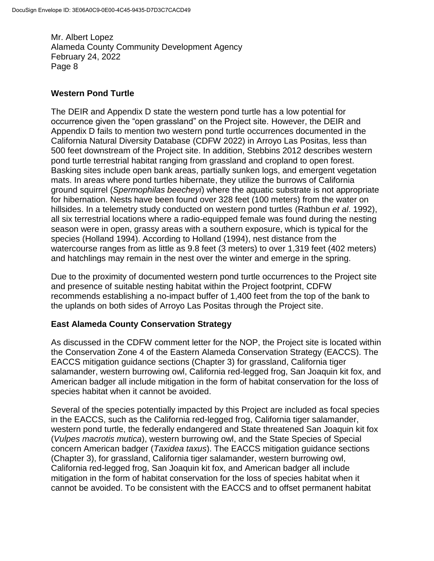### **Western Pond Turtle**

The DEIR and Appendix D state the western pond turtle has a low potential for occurrence given the "open grassland" on the Project site. However, the DEIR and Appendix D fails to mention two western pond turtle occurrences documented in the California Natural Diversity Database (CDFW 2022) in Arroyo Las Positas, less than 500 feet downstream of the Project site. In addition, Stebbins 2012 describes western pond turtle terrestrial habitat ranging from grassland and cropland to open forest. Basking sites include open bank areas, partially sunken logs, and emergent vegetation mats. In areas where pond turtles hibernate, they utilize the burrows of California ground squirrel (*Spermophilas beecheyi*) where the aquatic substrate is not appropriate for hibernation. Nests have been found over 328 feet (100 meters) from the water on hillsides. In a telemetry study conducted on western pond turtles (Rathbun *et al*. 1992), all six terrestrial locations where a radio-equipped female was found during the nesting season were in open, grassy areas with a southern exposure, which is typical for the species (Holland 1994). According to Holland (1994), nest distance from the watercourse ranges from as little as 9.8 feet (3 meters) to over 1,319 feet (402 meters) and hatchlings may remain in the nest over the winter and emerge in the spring.

Due to the proximity of documented western pond turtle occurrences to the Project site and presence of suitable nesting habitat within the Project footprint, CDFW recommends establishing a no-impact buffer of 1,400 feet from the top of the bank to the uplands on both sides of Arroyo Las Positas through the Project site.

# **East Alameda County Conservation Strategy**

As discussed in the CDFW comment letter for the NOP, the Project site is located within the Conservation Zone 4 of the Eastern Alameda Conservation Strategy (EACCS). The EACCS mitigation guidance sections (Chapter 3) for grassland, California tiger salamander, western burrowing owl, California red-legged frog, San Joaquin kit fox, and American badger all include mitigation in the form of habitat conservation for the loss of species habitat when it cannot be avoided.

Several of the species potentially impacted by this Project are included as focal species in the EACCS, such as the California red-legged frog, California tiger salamander, western pond turtle, the federally endangered and State threatened San Joaquin kit fox (*Vulpes macrotis mutica*), western burrowing owl, and the State Species of Special concern American badger (*Taxidea taxus*). The EACCS mitigation guidance sections (Chapter 3), for grassland, California tiger salamander, western burrowing owl, California red-legged frog, San Joaquin kit fox, and American badger all include mitigation in the form of habitat conservation for the loss of species habitat when it cannot be avoided. To be consistent with the EACCS and to offset permanent habitat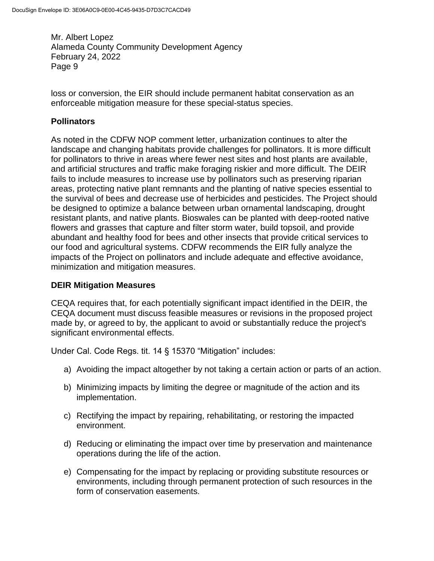loss or conversion, the EIR should include permanent habitat conservation as an enforceable mitigation measure for these special-status species.

# **Pollinators**

As noted in the CDFW NOP comment letter, urbanization continues to alter the landscape and changing habitats provide challenges for pollinators. It is more difficult for pollinators to thrive in areas where fewer nest sites and host plants are available, and artificial structures and traffic make foraging riskier and more difficult. The DEIR fails to include measures to increase use by pollinators such as preserving riparian areas, protecting native plant remnants and the planting of native species essential to the survival of bees and decrease use of herbicides and pesticides. The Project should be designed to optimize a balance between urban ornamental landscaping, drought resistant plants, and native plants. Bioswales can be planted with deep-rooted native flowers and grasses that capture and filter storm water, build topsoil, and provide abundant and healthy food for bees and other insects that provide critical services to our food and agricultural systems. CDFW recommends the EIR fully analyze the impacts of the Project on pollinators and include adequate and effective avoidance, minimization and mitigation measures.

# **DEIR Mitigation Measures**

CEQA requires that, for each potentially significant impact identified in the DEIR, the CEQA document must discuss feasible measures or revisions in the proposed project made by, or agreed to by, the applicant to avoid or substantially reduce the project's significant environmental effects.

Under Cal. Code Regs. tit. 14 § 15370 "Mitigation" includes:

- a) Avoiding the impact altogether by not taking a certain action or parts of an action.
- b) Minimizing impacts by limiting the degree or magnitude of the action and its implementation.
- c) Rectifying the impact by repairing, rehabilitating, or restoring the impacted environment.
- d) Reducing or eliminating the impact over time by preservation and maintenance operations during the life of the action.
- e) Compensating for the impact by replacing or providing substitute resources or environments, including through permanent protection of such resources in the form of conservation easements.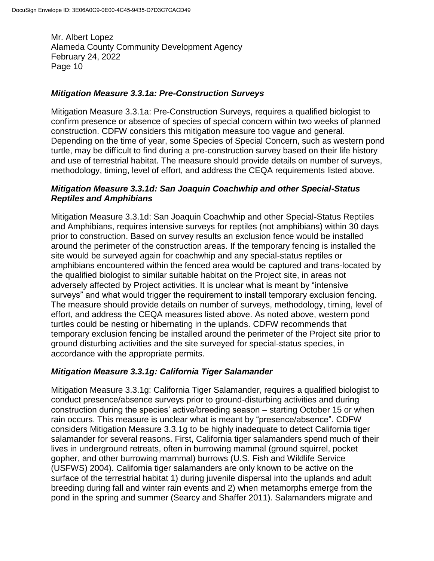### *Mitigation Measure 3.3.1a: Pre-Construction Surveys*

Mitigation Measure 3.3.1a: Pre-Construction Surveys, requires a qualified biologist to confirm presence or absence of species of special concern within two weeks of planned construction. CDFW considers this mitigation measure too vague and general. Depending on the time of year, some Species of Special Concern, such as western pond turtle, may be difficult to find during a pre-construction survey based on their life history and use of terrestrial habitat. The measure should provide details on number of surveys, methodology, timing, level of effort, and address the CEQA requirements listed above.

### *Mitigation Measure 3.3.1d: San Joaquin Coachwhip and other Special-Status Reptiles and Amphibians*

Mitigation Measure 3.3.1d: San Joaquin Coachwhip and other Special-Status Reptiles and Amphibians, requires intensive surveys for reptiles (not amphibians) within 30 days prior to construction. Based on survey results an exclusion fence would be installed around the perimeter of the construction areas. If the temporary fencing is installed the site would be surveyed again for coachwhip and any special-status reptiles or amphibians encountered within the fenced area would be captured and trans-located by the qualified biologist to similar suitable habitat on the Project site, in areas not adversely affected by Project activities. It is unclear what is meant by "intensive surveys" and what would trigger the requirement to install temporary exclusion fencing. The measure should provide details on number of surveys, methodology, timing, level of effort, and address the CEQA measures listed above. As noted above, western pond turtles could be nesting or hibernating in the uplands. CDFW recommends that temporary exclusion fencing be installed around the perimeter of the Project site prior to ground disturbing activities and the site surveyed for special-status species, in accordance with the appropriate permits.

# *Mitigation Measure 3.3.1g: California Tiger Salamander*

Mitigation Measure 3.3.1g: California Tiger Salamander, requires a qualified biologist to conduct presence/absence surveys prior to ground-disturbing activities and during construction during the species' active/breeding season – starting October 15 or when rain occurs. This measure is unclear what is meant by "presence/absence". CDFW considers Mitigation Measure 3.3.1g to be highly inadequate to detect California tiger salamander for several reasons. First, California tiger salamanders spend much of their lives in underground retreats, often in burrowing mammal (ground squirrel, pocket gopher, and other burrowing mammal) burrows (U.S. Fish and Wildlife Service (USFWS) 2004). California tiger salamanders are only known to be active on the surface of the terrestrial habitat 1) during juvenile dispersal into the uplands and adult breeding during fall and winter rain events and 2) when metamorphs emerge from the pond in the spring and summer (Searcy and Shaffer 2011). Salamanders migrate and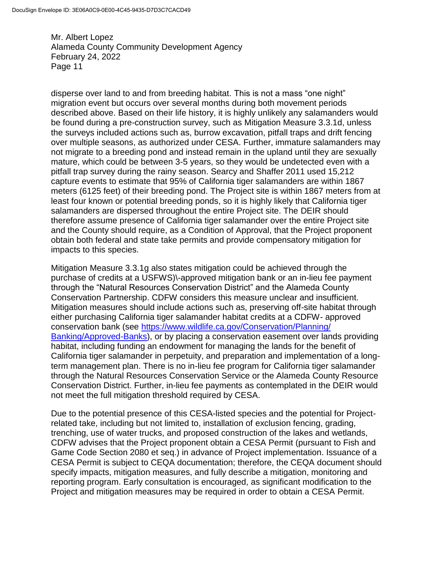disperse over land to and from breeding habitat. This is not a mass "one night" migration event but occurs over several months during both movement periods described above. Based on their life history, it is highly unlikely any salamanders would be found during a pre-construction survey, such as Mitigation Measure 3.3.1d, unless the surveys included actions such as, burrow excavation, pitfall traps and drift fencing over multiple seasons, as authorized under CESA. Further, immature salamanders may not migrate to a breeding pond and instead remain in the upland until they are sexually mature, which could be between 3-5 years, so they would be undetected even with a pitfall trap survey during the rainy season. Searcy and Shaffer 2011 used 15,212 capture events to estimate that 95% of California tiger salamanders are within 1867 meters (6125 feet) of their breeding pond. The Project site is within 1867 meters from at least four known or potential breeding ponds, so it is highly likely that California tiger salamanders are dispersed throughout the entire Project site. The DEIR should therefore assume presence of California tiger salamander over the entire Project site and the County should require, as a Condition of Approval, that the Project proponent obtain both federal and state take permits and provide compensatory mitigation for impacts to this species.

Mitigation Measure 3.3.1g also states mitigation could be achieved through the purchase of credits at a USFWS)\-approved mitigation bank or an in-lieu fee payment through the "Natural Resources Conservation District" and the Alameda County Conservation Partnership. CDFW considers this measure unclear and insufficient. Mitigation measures should include actions such as, preserving off-site habitat through either purchasing California tiger salamander habitat credits at a CDFW- approved conservation bank (see [https://www.wildlife.ca.gov/Conservation/Planning/](https://www.wildlife.ca.gov/Conservation/Planning/Banking/Approved-Banks) [Banking/Approved-Banks\)](https://www.wildlife.ca.gov/Conservation/Planning/Banking/Approved-Banks), or by placing a conservation easement over lands providing habitat, including funding an endowment for managing the lands for the benefit of California tiger salamander in perpetuity, and preparation and implementation of a longterm management plan. There is no in-lieu fee program for California tiger salamander through the Natural Resources Conservation Service or the Alameda County Resource Conservation District. Further, in-lieu fee payments as contemplated in the DEIR would not meet the full mitigation threshold required by CESA.

Due to the potential presence of this CESA-listed species and the potential for Projectrelated take, including but not limited to, installation of exclusion fencing, grading, trenching, use of water trucks, and proposed construction of the lakes and wetlands, CDFW advises that the Project proponent obtain a CESA Permit (pursuant to Fish and Game Code Section 2080 et seq.) in advance of Project implementation. Issuance of a CESA Permit is subject to CEQA documentation; therefore, the CEQA document should specify impacts, mitigation measures, and fully describe a mitigation, monitoring and reporting program. Early consultation is encouraged, as significant modification to the Project and mitigation measures may be required in order to obtain a CESA Permit.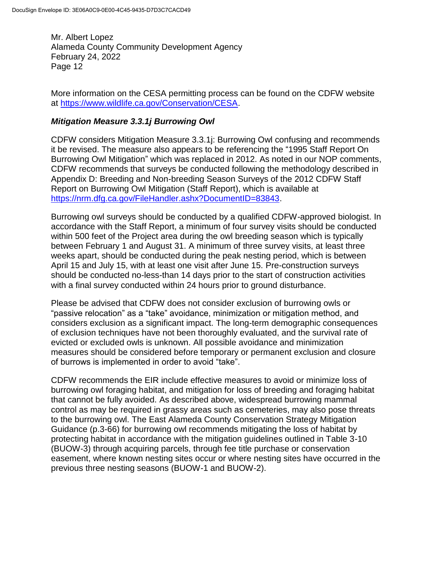More information on the CESA permitting process can be found on the CDFW website at [https://www.wildlife.ca.gov/Conservation/CESA.](https://www.wildlife.ca.gov/Conservation/CESA)

### *Mitigation Measure 3.3.1j Burrowing Owl*

CDFW considers Mitigation Measure 3.3.1j: Burrowing Owl confusing and recommends it be revised. The measure also appears to be referencing the "1995 Staff Report On Burrowing Owl Mitigation" which was replaced in 2012. As noted in our NOP comments, CDFW recommends that surveys be conducted following the methodology described in Appendix D: Breeding and Non-breeding Season Surveys of the 2012 CDFW Staff Report on Burrowing Owl Mitigation (Staff Report), which is available at [https://nrm.dfg.ca.gov/FileHandler.ashx?DocumentID=83843.](https://nrm.dfg.ca.gov/FileHandler.ashx?DocumentID=83843)

Burrowing owl surveys should be conducted by a qualified CDFW-approved biologist. In accordance with the Staff Report, a minimum of four survey visits should be conducted within 500 feet of the Project area during the owl breeding season which is typically between February 1 and August 31. A minimum of three survey visits, at least three weeks apart, should be conducted during the peak nesting period, which is between April 15 and July 15, with at least one visit after June 15. Pre-construction surveys should be conducted no-less-than 14 days prior to the start of construction activities with a final survey conducted within 24 hours prior to ground disturbance.

Please be advised that CDFW does not consider exclusion of burrowing owls or "passive relocation" as a "take" avoidance, minimization or mitigation method, and considers exclusion as a significant impact. The long-term demographic consequences of exclusion techniques have not been thoroughly evaluated, and the survival rate of evicted or excluded owls is unknown. All possible avoidance and minimization measures should be considered before temporary or permanent exclusion and closure of burrows is implemented in order to avoid "take".

CDFW recommends the EIR include effective measures to avoid or minimize loss of burrowing owl foraging habitat, and mitigation for loss of breeding and foraging habitat that cannot be fully avoided. As described above, widespread burrowing mammal control as may be required in grassy areas such as cemeteries, may also pose threats to the burrowing owl. The East Alameda County Conservation Strategy Mitigation Guidance (p.3-66) for burrowing owl recommends mitigating the loss of habitat by protecting habitat in accordance with the mitigation guidelines outlined in Table 3-10 (BUOW-3) through acquiring parcels, through fee title purchase or conservation easement, where known nesting sites occur or where nesting sites have occurred in the previous three nesting seasons (BUOW-1 and BUOW-2).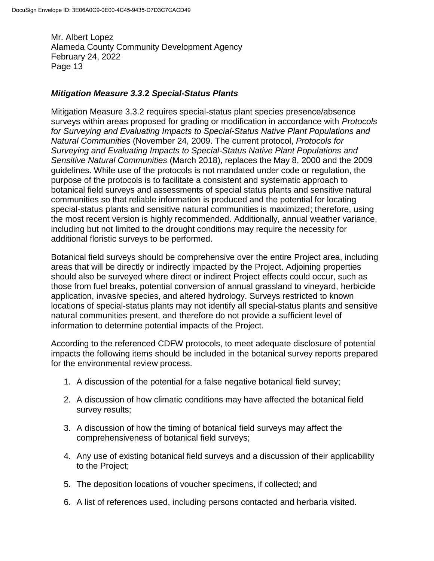### *Mitigation Measure 3.3***.2** *Special-Status Plants*

Mitigation Measure 3.3.2 requires special-status plant species presence/absence surveys within areas proposed for grading or modification in accordance with *Protocols for Surveying and Evaluating Impacts to Special-Status Native Plant Populations and Natural Communities* (November 24, 2009. The current protocol, *Protocols for Surveying and Evaluating Impacts to Special-Status Native Plant Populations and Sensitive Natural Communities* (March 2018), replaces the May 8, 2000 and the 2009 guidelines. While use of the protocols is not mandated under code or regulation, the purpose of the protocols is to facilitate a consistent and systematic approach to botanical field surveys and assessments of special status plants and sensitive natural communities so that reliable information is produced and the potential for locating special-status plants and sensitive natural communities is maximized; therefore, using the most recent version is highly recommended. Additionally, annual weather variance, including but not limited to the drought conditions may require the necessity for additional floristic surveys to be performed.

Botanical field surveys should be comprehensive over the entire Project area, including areas that will be directly or indirectly impacted by the Project. Adjoining properties should also be surveyed where direct or indirect Project effects could occur, such as those from fuel breaks, potential conversion of annual grassland to vineyard, herbicide application, invasive species, and altered hydrology. Surveys restricted to known locations of special-status plants may not identify all special-status plants and sensitive natural communities present, and therefore do not provide a sufficient level of information to determine potential impacts of the Project.

According to the referenced CDFW protocols, to meet adequate disclosure of potential impacts the following items should be included in the botanical survey reports prepared for the environmental review process.

- 1. A discussion of the potential for a false negative botanical field survey;
- 2. A discussion of how climatic conditions may have affected the botanical field survey results;
- 3. A discussion of how the timing of botanical field surveys may affect the comprehensiveness of botanical field surveys;
- 4. Any use of existing botanical field surveys and a discussion of their applicability to the Project;
- 5. The deposition locations of voucher specimens, if collected; and
- 6. A list of references used, including persons contacted and herbaria visited.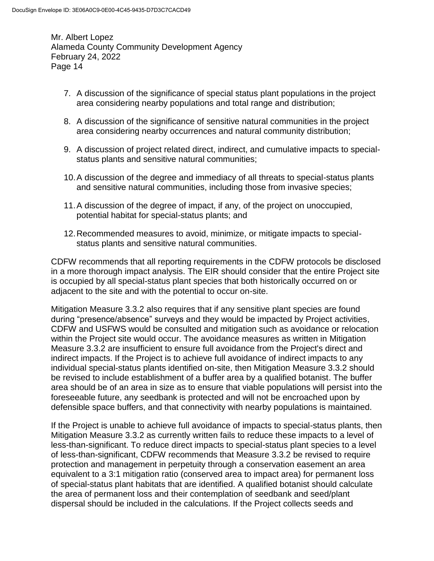- 7. A discussion of the significance of special status plant populations in the project area considering nearby populations and total range and distribution;
- 8. A discussion of the significance of sensitive natural communities in the project area considering nearby occurrences and natural community distribution;
- 9. A discussion of project related direct, indirect, and cumulative impacts to specialstatus plants and sensitive natural communities;
- 10.A discussion of the degree and immediacy of all threats to special-status plants and sensitive natural communities, including those from invasive species;
- 11.A discussion of the degree of impact, if any, of the project on unoccupied, potential habitat for special-status plants; and
- 12.Recommended measures to avoid, minimize, or mitigate impacts to specialstatus plants and sensitive natural communities.

CDFW recommends that all reporting requirements in the CDFW protocols be disclosed in a more thorough impact analysis. The EIR should consider that the entire Project site is occupied by all special-status plant species that both historically occurred on or adjacent to the site and with the potential to occur on-site.

Mitigation Measure 3.3.2 also requires that if any sensitive plant species are found during "presence/absence" surveys and they would be impacted by Project activities, CDFW and USFWS would be consulted and mitigation such as avoidance or relocation within the Project site would occur. The avoidance measures as written in Mitigation Measure 3.3.2 are insufficient to ensure full avoidance from the Project's direct and indirect impacts. If the Project is to achieve full avoidance of indirect impacts to any individual special-status plants identified on-site, then Mitigation Measure 3.3.2 should be revised to include establishment of a buffer area by a qualified botanist. The buffer area should be of an area in size as to ensure that viable populations will persist into the foreseeable future, any seedbank is protected and will not be encroached upon by defensible space buffers, and that connectivity with nearby populations is maintained.

If the Project is unable to achieve full avoidance of impacts to special-status plants, then Mitigation Measure 3.3.2 as currently written fails to reduce these impacts to a level of less-than-significant. To reduce direct impacts to special-status plant species to a level of less-than-significant, CDFW recommends that Measure 3.3.2 be revised to require protection and management in perpetuity through a conservation easement an area equivalent to a 3:1 mitigation ratio (conserved area to impact area) for permanent loss of special-status plant habitats that are identified. A qualified botanist should calculate the area of permanent loss and their contemplation of seedbank and seed/plant dispersal should be included in the calculations. If the Project collects seeds and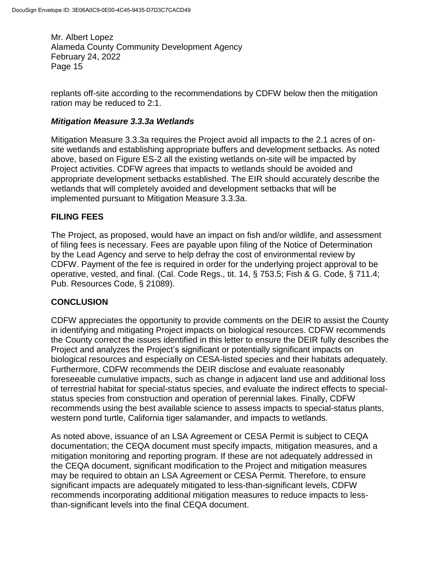replants off-site according to the recommendations by CDFW below then the mitigation ration may be reduced to 2:1.

### *Mitigation Measure 3.3.3a Wetlands*

Mitigation Measure 3.3.3a requires the Project avoid all impacts to the 2.1 acres of onsite wetlands and establishing appropriate buffers and development setbacks. As noted above, based on Figure ES-2 all the existing wetlands on-site will be impacted by Project activities. CDFW agrees that impacts to wetlands should be avoided and appropriate development setbacks established. The EIR should accurately describe the wetlands that will completely avoided and development setbacks that will be implemented pursuant to Mitigation Measure 3.3.3a.

# **FILING FEES**

The Project, as proposed, would have an impact on fish and/or wildlife, and assessment of filing fees is necessary. Fees are payable upon filing of the Notice of Determination by the Lead Agency and serve to help defray the cost of environmental review by CDFW. Payment of the fee is required in order for the underlying project approval to be operative, vested, and final. (Cal. Code Regs., tit. 14, § 753.5; Fish & G. Code, § 711.4; Pub. Resources Code, § 21089).

# **CONCLUSION**

CDFW appreciates the opportunity to provide comments on the DEIR to assist the County in identifying and mitigating Project impacts on biological resources. CDFW recommends the County correct the issues identified in this letter to ensure the DEIR fully describes the Project and analyzes the Project's significant or potentially significant impacts on biological resources and especially on CESA-listed species and their habitats adequately. Furthermore, CDFW recommends the DEIR disclose and evaluate reasonably foreseeable cumulative impacts, such as change in adjacent land use and additional loss of terrestrial habitat for special-status species, and evaluate the indirect effects to specialstatus species from construction and operation of perennial lakes. Finally, CDFW recommends using the best available science to assess impacts to special-status plants, western pond turtle, California tiger salamander, and impacts to wetlands.

As noted above, issuance of an LSA Agreement or CESA Permit is subject to CEQA documentation; the CEQA document must specify impacts, mitigation measures, and a mitigation monitoring and reporting program. If these are not adequately addressed in the CEQA document, significant modification to the Project and mitigation measures may be required to obtain an LSA Agreement or CESA Permit. Therefore, to ensure significant impacts are adequately mitigated to less-than-significant levels, CDFW recommends incorporating additional mitigation measures to reduce impacts to lessthan-significant levels into the final CEQA document.